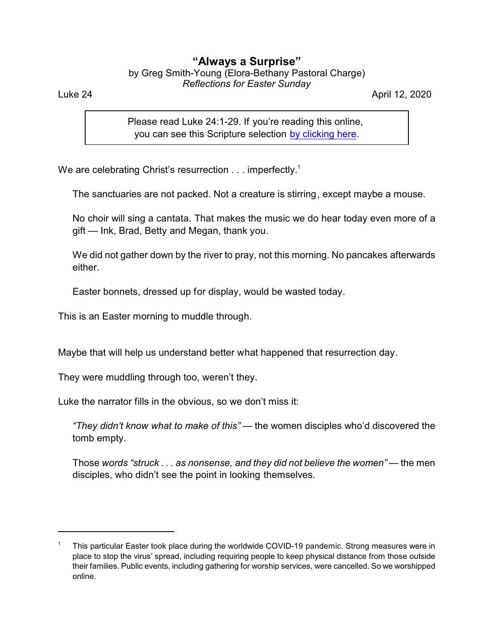## **"Always a Surprise"**

by Greg Smith-Young (Elora-Bethany Pastoral Charge) *Reflections for Easter Sunday*

Luke 24 April 12, 2020

Please read Luke 24:1-29. If you're reading this online, you can see this Scripture selection [by clicking here](https://www.biblegateway.com/passage/?search=Luke+24%3A1-29&version=CEB).

We are celebrating Christ's resurrection  $\dots$  imperfectly.<sup>1</sup>

The sanctuaries are not packed. Not a creature is stirring, except maybe a mouse.

No choir will sing a cantata. That makes the music we do hear today even more of a gift — Ink, Brad, Betty and Megan, thank you.

We did not gather down by the river to pray, not this morning. No pancakes afterwards either.

Easter bonnets, dressed up for display, would be wasted today.

This is an Easter morning to muddle through.

Maybe that will help us understand better what happened that resurrection day.

They were muddling through too, weren't they.

Luke the narrator fills in the obvious, so we don't miss it:

*"They didn't know what to make of this"* — the women disciples who'd discovered the tomb empty.

Those *words "struck . . . as nonsense, and they did not believe the women"* — the men disciples, who didn't see the point in looking themselves.

<sup>1</sup> This particular Easter took place during the worldwide COVID-19 pandemic. Strong measures were in place to stop the virus' spread, including requiring people to keep physical distance from those outside their families. Public events, including gathering for worship services, were cancelled. So we worshipped online.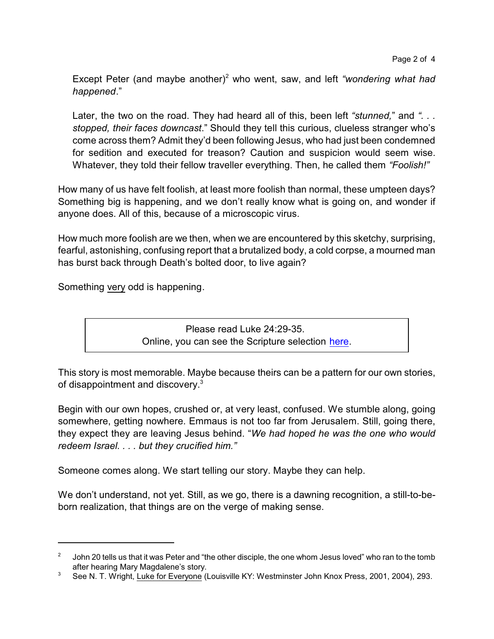Except Peter (and maybe another)<sup>2</sup> who went, saw, and left *"wondering what had happened*."

Later, the two on the road. They had heard all of this, been left *"stunned,*" and *". . . stopped, their faces downcast*." Should they tell this curious, clueless stranger who's come across them? Admit they'd been following Jesus, who had just been condemned for sedition and executed for treason? Caution and suspicion would seem wise. Whatever, they told their fellow traveller everything. Then, he called them *"Foolish!"*

How many of us have felt foolish, at least more foolish than normal, these umpteen days? Something big is happening, and we don't really know what is going on, and wonder if anyone does. All of this, because of a microscopic virus.

How much more foolish are we then, when we are encountered by this sketchy, surprising, fearful, astonishing, confusing report that a brutalized body, a cold corpse, a mourned man has burst back through Death's bolted door, to live again?

Something very odd is happening.

Please read Luke 24:29-35. Online, you can see the Scripture selection [here](https://www.biblegateway.com/passage/?search=Luke+24%3A29-35&version=CEB).

This story is most memorable. Maybe because theirs can be a pattern for our own stories, of disappointment and discovery.<sup>3</sup>

Begin with our own hopes, crushed or, at very least, confused. We stumble along, going somewhere, getting nowhere. Emmaus is not too far from Jerusalem. Still, going there, they expect they are leaving Jesus behind. "*We had hoped he was the one who would redeem Israel. . . . but they crucified him."*

Someone comes along. We start telling our story. Maybe they can help.

We don't understand, not yet. Still, as we go, there is a dawning recognition, a still-to-beborn realization, that things are on the verge of making sense.

 $^{2}$   $\,$  John 20 tells us that it was Peter and "the other disciple, the one whom Jesus loved" who ran to the tomb after hearing Mary Magdalene's story.

<sup>&</sup>lt;sup>3</sup> See N. T. Wright, Luke for Everyone (Louisville KY: Westminster John Knox Press, 2001, 2004), 293.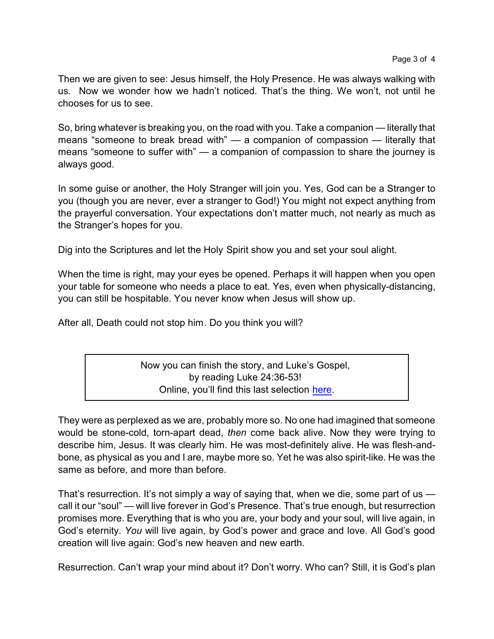Then we are given to see: Jesus himself, the Holy Presence. He was always walking with us. Now we wonder how we hadn't noticed. That's the thing. We won't, not until he chooses for us to see.

So, bring whatever is breaking you, on the road with you. Take a companion — literally that means "someone to break bread with" — a companion of compassion — literally that means "someone to suffer with" — a companion of compassion to share the journey is always good.

In some guise or another, the Holy Stranger will join you. Yes, God can be a Stranger to you (though you are never, ever a stranger to God!) You might not expect anything from the prayerful conversation. Your expectations don't matter much, not nearly as much as the Stranger's hopes for you.

Dig into the Scriptures and let the Holy Spirit show you and set your soul alight.

When the time is right, may your eyes be opened. Perhaps it will happen when you open your table for someone who needs a place to eat. Yes, even when physically-distancing, you can still be hospitable. You never know when Jesus will show up.

After all, Death could not stop him. Do you think you will?

Now you can finish the story, and Luke's Gospel, by reading Luke 24:36-53! Online, you'll find this last selection [here](https://www.biblegateway.com/passage/?search=Luke+24%3A36-53&version=CEB).

They were as perplexed as we are, probably more so. No one had imagined that someone would be stone-cold, torn-apart dead, *then* come back alive. Now they were trying to describe him, Jesus. It was clearly him. He was most-definitely alive. He was flesh-andbone, as physical as you and I are, maybe more so. Yet he was also spirit-like. He was the same as before, and more than before.

That's resurrection. It's not simply a way of saying that, when we die, some part of us call it our "soul" — will live forever in God's Presence. That's true enough, but resurrection promises more. Everything that is who you are, your body and your soul, will live again, in God's eternity. *You* will live again, by God's power and grace and love. All God's good creation will live again: God's new heaven and new earth.

Resurrection. Can't wrap your mind about it? Don't worry. Who can? Still, it is God's plan